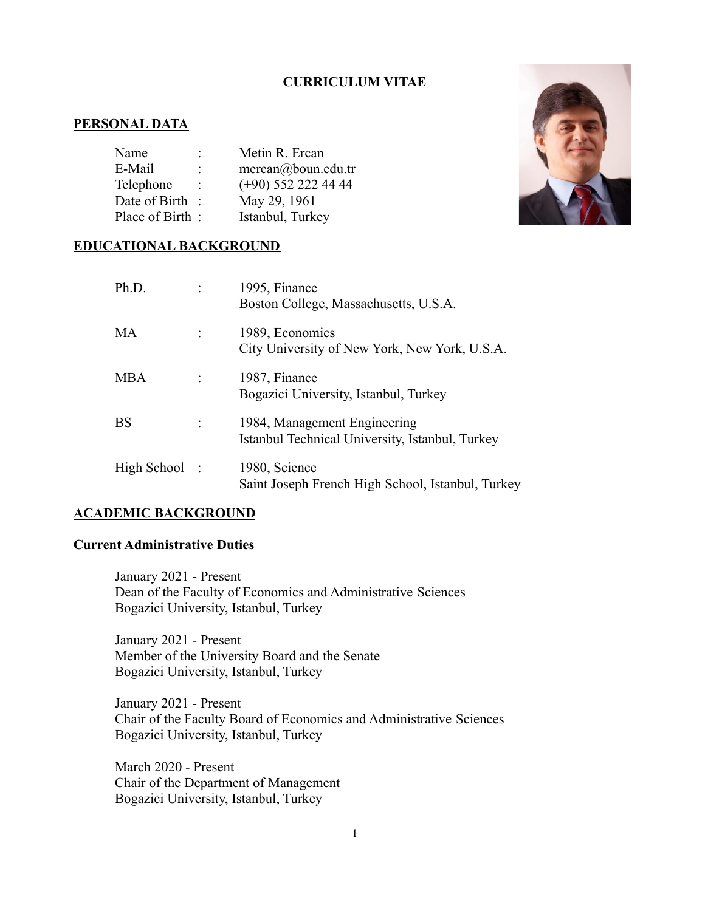# **CURRICULUM VITAE**

## **PERSONAL DATA**

| Name            |   | Metin R. Ercan        |
|-----------------|---|-----------------------|
| E-Mail          | : | $mercan@$ boun.edu.tr |
| Telephone       |   | $(+90)$ 552 222 44 44 |
| Date of Birth   |   | May 29, 1961          |
| Place of Birth: |   | Istanbul, Turkey      |



## **EDUCATIONAL BACKGROUND**

| Ph.D.        | 1995, Finance<br>Boston College, Massachusetts, U.S.A.                          |
|--------------|---------------------------------------------------------------------------------|
| MA           | 1989, Economics<br>City University of New York, New York, U.S.A.                |
| <b>MBA</b>   | 1987, Finance<br>Bogazici University, Istanbul, Turkey                          |
| <b>BS</b>    | 1984, Management Engineering<br>Istanbul Technical University, Istanbul, Turkey |
| High School: | 1980, Science<br>Saint Joseph French High School, Istanbul, Turkey              |

### **ACADEMIC BACKGROUND**

## **Current Administrative Duties**

January 2021 - Present Dean of the Faculty of Economics and Administrative Sciences Bogazici University, Istanbul, Turkey

January 2021 - Present Member of the University Board and the Senate Bogazici University, Istanbul, Turkey

January 2021 - Present Chair of the Faculty Board of Economics and Administrative Sciences Bogazici University, Istanbul, Turkey

March 2020 - Present Chair of the Department of Management Bogazici University, Istanbul, Turkey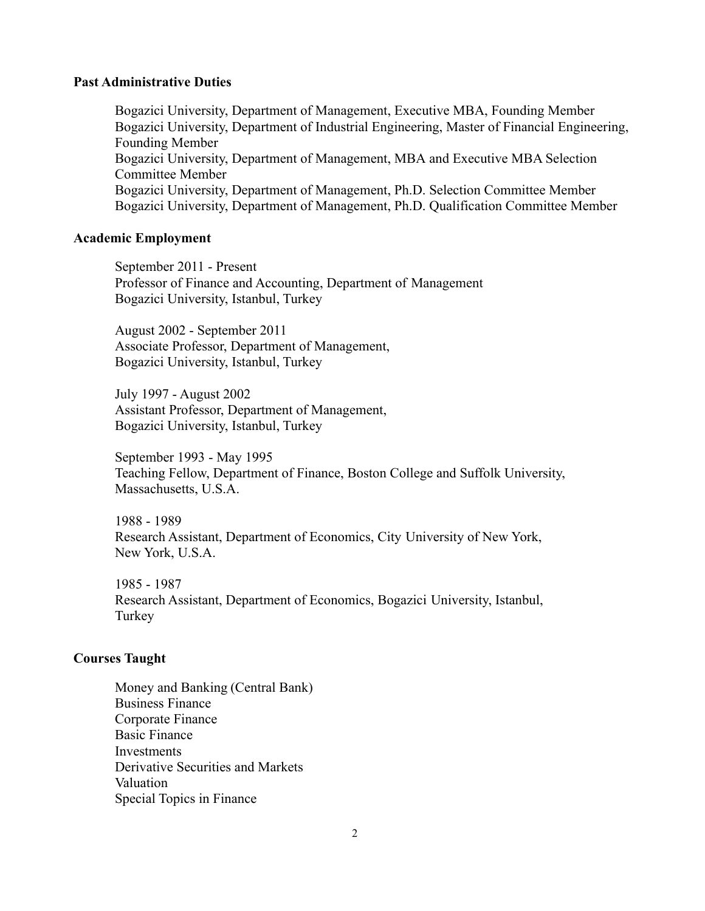### **Past Administrative Duties**

Bogazici University, Department of Management, Executive MBA, Founding Member Bogazici University, Department of Industrial Engineering, Master of Financial Engineering, Founding Member Bogazici University, Department of Management, MBA and Executive MBA Selection Committee Member Bogazici University, Department of Management, Ph.D. Selection Committee Member Bogazici University, Department of Management, Ph.D. Qualification Committee Member

#### **Academic Employment**

September 2011 - Present Professor of Finance and Accounting, Department of Management Bogazici University, Istanbul, Turkey

August 2002 - September 2011 Associate Professor, Department of Management, Bogazici University, Istanbul, Turkey

July 1997 - August 2002 Assistant Professor, Department of Management, Bogazici University, Istanbul, Turkey

September 1993 - May 1995 Teaching Fellow, Department of Finance, Boston College and Suffolk University, Massachusetts, U.S.A.

1988 - 1989 Research Assistant, Department of Economics, City University of New York, New York, U.S.A.

1985 - 1987 Research Assistant, Department of Economics, Bogazici University, Istanbul, Turkey

# **Courses Taught**

Money and Banking (Central Bank) Business Finance Corporate Finance Basic Finance **Investments** Derivative Securities and Markets Valuation Special Topics in Finance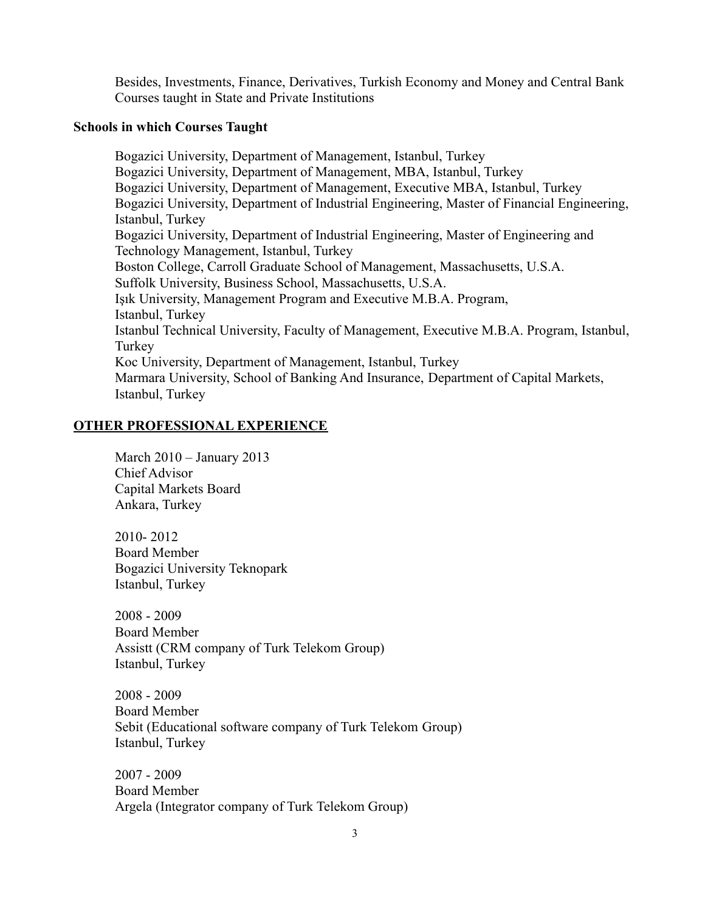Besides, Investments, Finance, Derivatives, Turkish Economy and Money and Central Bank Courses taught in State and Private Institutions

### **Schools in which Courses Taught**

Bogazici University, Department of Management, Istanbul, Turkey Bogazici University, Department of Management, MBA, Istanbul, Turkey Bogazici University, Department of Management, Executive MBA, Istanbul, Turkey Bogazici University, Department of Industrial Engineering, Master of Financial Engineering, Istanbul, Turkey Bogazici University, Department of Industrial Engineering, Master of Engineering and Technology Management, Istanbul, Turkey Boston College, Carroll Graduate School of Management, Massachusetts, U.S.A. Suffolk University, Business School, Massachusetts, U.S.A. Işık University, Management Program and Executive M.B.A. Program, Istanbul, Turkey Istanbul Technical University, Faculty of Management, Executive M.B.A. Program, Istanbul, Turkey Koc University, Department of Management, Istanbul, Turkey Marmara University, School of Banking And Insurance, Department of Capital Markets, Istanbul, Turkey

## **OTHER PROFESSIONAL EXPERIENCE**

March 2010 – January 2013 Chief Advisor Capital Markets Board Ankara, Turkey

2010- 2012 Board Member Bogazici University Teknopark Istanbul, Turkey

2008 - 2009 Board Member Assistt (CRM company of Turk Telekom Group) Istanbul, Turkey

2008 - 2009 Board Member Sebit (Educational software company of Turk Telekom Group) Istanbul, Turkey

2007 - 2009 Board Member Argela (Integrator company of Turk Telekom Group)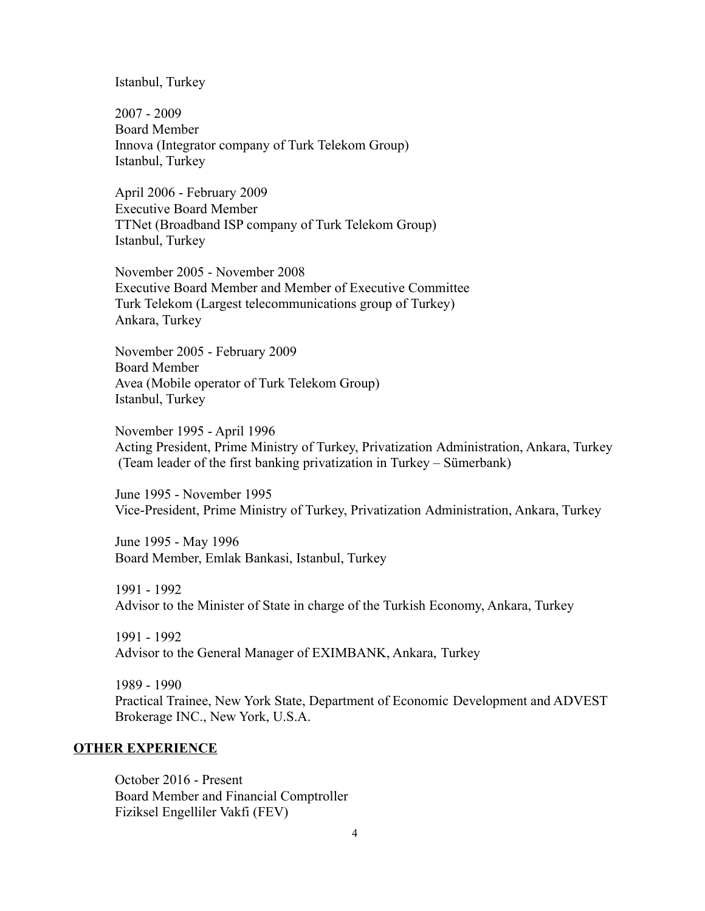### Istanbul, Turkey

2007 - 2009 Board Member Innova (Integrator company of Turk Telekom Group) Istanbul, Turkey

April 2006 - February 2009 Executive Board Member TTNet (Broadband ISP company of Turk Telekom Group) Istanbul, Turkey

November 2005 - November 2008 Executive Board Member and Member of Executive Committee Turk Telekom (Largest telecommunications group of Turkey) Ankara, Turkey

November 2005 - February 2009 Board Member Avea (Mobile operator of Turk Telekom Group) Istanbul, Turkey

November 1995 - April 1996 Acting President, Prime Ministry of Turkey, Privatization Administration, Ankara, Turkey (Team leader of the first banking privatization in Turkey – Sümerbank)

June 1995 - November 1995 Vice-President, Prime Ministry of Turkey, Privatization Administration, Ankara, Turkey

June 1995 - May 1996 Board Member, Emlak Bankasi, Istanbul, Turkey

1991 - 1992 Advisor to the Minister of State in charge of the Turkish Economy, Ankara, Turkey

1991 - 1992 Advisor to the General Manager of EXIMBANK, Ankara, Turkey

1989 - 1990 Practical Trainee, New York State, Department of Economic Development and ADVEST Brokerage INC., New York, U.S.A.

## **OTHER EXPERIENCE**

October 2016 - Present Board Member and Financial Comptroller Fiziksel Engelliler Vakfi (FEV)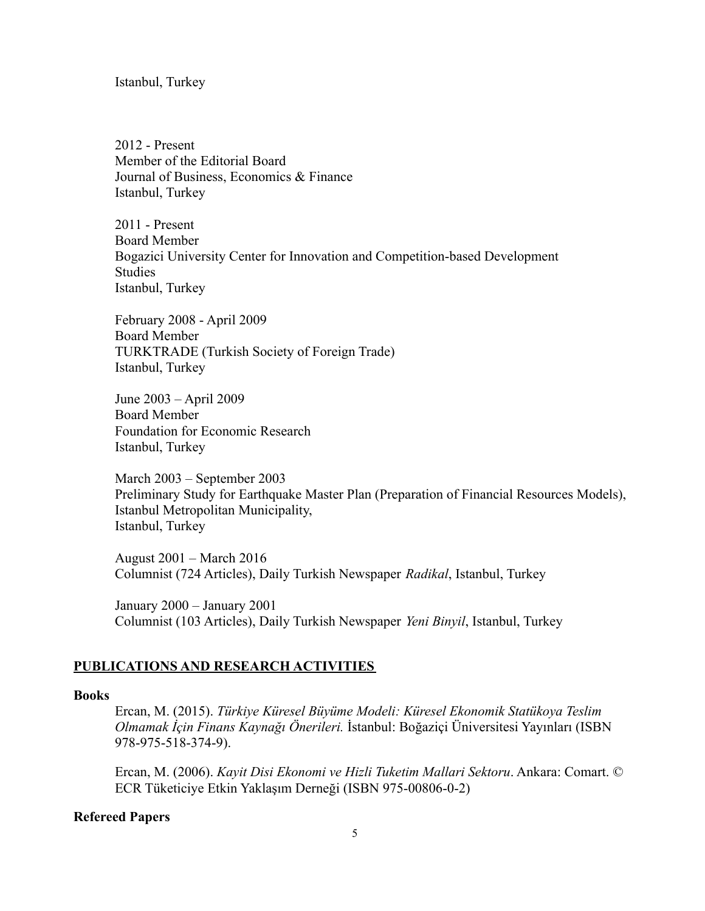Istanbul, Turkey

2012 - Present Member of the Editorial Board Journal of Business, Economics & Finance Istanbul, Turkey

2011 - Present Board Member Bogazici University Center for Innovation and Competition-based Development Studies Istanbul, Turkey

February 2008 - April 2009 Board Member TURKTRADE (Turkish Society of Foreign Trade) Istanbul, Turkey

June 2003 – April 2009 Board Member Foundation for Economic Research Istanbul, Turkey

March 2003 – September 2003 Preliminary Study for Earthquake Master Plan (Preparation of Financial Resources Models), Istanbul Metropolitan Municipality, Istanbul, Turkey

August 2001 – March 2016 Columnist (724 Articles), Daily Turkish Newspaper *Radikal*, Istanbul, Turkey

January 2000 – January 2001 Columnist (103 Articles), Daily Turkish Newspaper *Yeni Binyil*, Istanbul, Turkey

### **PUBLICATIONS AND RESEARCH ACTIVITIES**

#### **Books**

Ercan, M. (2015). *Türkiye Küresel Büyüme Modeli: Küresel Ekonomik Statükoya Teslim Olmamak İçin Finans Kaynağı Önerileri.* İstanbul: Boğaziçi Üniversitesi Yayınları (ISBN 978-975-518-374-9).

Ercan, M. (2006). *Kayit Disi Ekonomi ve Hizli Tuketim Mallari Sektoru*. Ankara: Comart. © ECR Tüketiciye Etkin Yaklaşım Derneği (ISBN 975-00806-0-2)

### **Refereed Papers**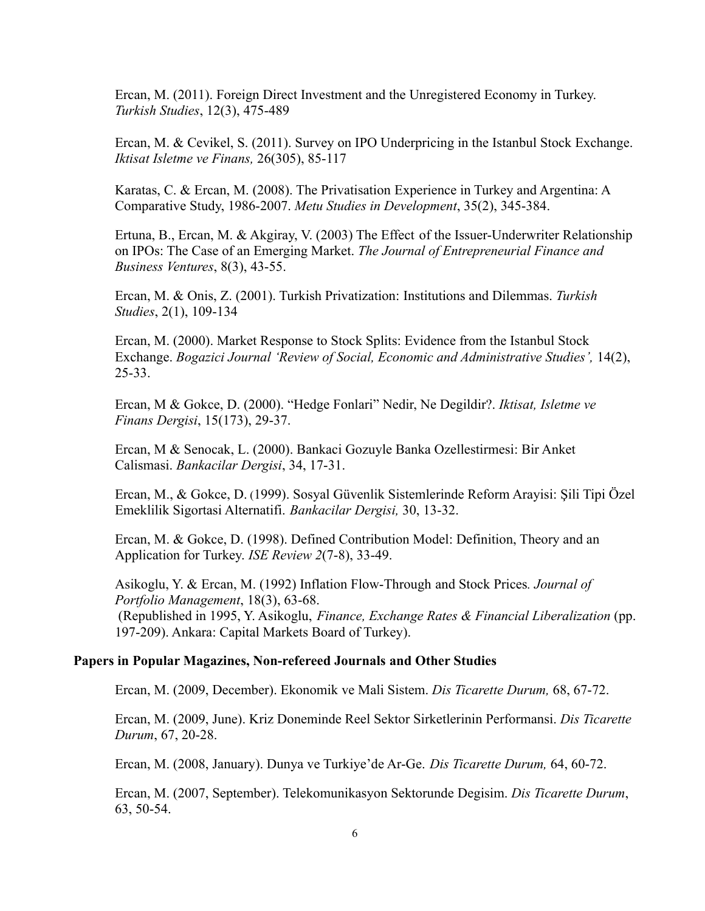Ercan, M. (2011). Foreign Direct Investment and the Unregistered Economy in Turkey. *Turkish Studies*, 12(3), 475-489

Ercan, M. & Cevikel, S. (2011). Survey on IPO Underpricing in the Istanbul Stock Exchange. *Iktisat Isletme ve Finans,* 26(305), 85-117

Karatas, C. & Ercan, M. (2008). The Privatisation Experience in Turkey and Argentina: A Comparative Study, 1986-2007. *Metu Studies in Development*, 35(2), 345-384.

Ertuna, B., Ercan, M. & Akgiray, V. (2003) The Effect of the Issuer-Underwriter Relationship on IPOs: The Case of an Emerging Market. *The Journal of Entrepreneurial Finance and Business Ventures*, 8(3), 43-55.

Ercan, M. & Onis, Z. (2001). Turkish Privatization: Institutions and Dilemmas. *Turkish Studies*, 2(1), 109-134

Ercan, M. (2000). Market Response to Stock Splits: Evidence from the Istanbul Stock Exchange. *Bogazici Journal 'Review of Social, Economic and Administrative Studies',* 14(2), 25-33.

Ercan, M & Gokce, D. (2000). "Hedge Fonlari" Nedir, Ne Degildir?. *Iktisat, Isletme ve Finans Dergisi*, 15(173), 29-37.

Ercan, M & Senocak, L. (2000). Bankaci Gozuyle Banka Ozellestirmesi: Bir Anket Calismasi. *Bankacilar Dergisi*, 34, 17-31.

Ercan, M., & Gokce, D. (1999). Sosyal Güvenlik Sistemlerinde Reform Arayisi: Şili Tipi Özel Emeklilik Sigortasi Alternatifi. *Bankacilar Dergisi,* 30, 13-32.

Ercan, M. & Gokce, D. (1998). Defined Contribution Model: Definition, Theory and an Application for Turkey. *ISE Review 2*(7-8), 33-49.

Asikoglu, Y. & Ercan, M. (1992) Inflation Flow-Through and Stock Prices*. Journal of Portfolio Management*, 18(3), 63-68. (Republished in 1995, Y. Asikoglu, *Finance, Exchange Rates & Financial Liberalization* (pp. 197-209). Ankara: Capital Markets Board of Turkey).

#### **Papers in Popular Magazines, Non-refereed Journals and Other Studies**

Ercan, M. (2009, December). Ekonomik ve Mali Sistem. *Dis Ticarette Durum,* 68, 67-72.

Ercan, M. (2009, June). Kriz Doneminde Reel Sektor Sirketlerinin Performansi. *Dis Ticarette Durum*, 67, 20-28.

Ercan, M. (2008, January). Dunya ve Turkiye'de Ar-Ge. *Dis Ticarette Durum,* 64, 60-72.

Ercan, M. (2007, September). Telekomunikasyon Sektorunde Degisim. *Dis Ticarette Durum*, 63, 50-54.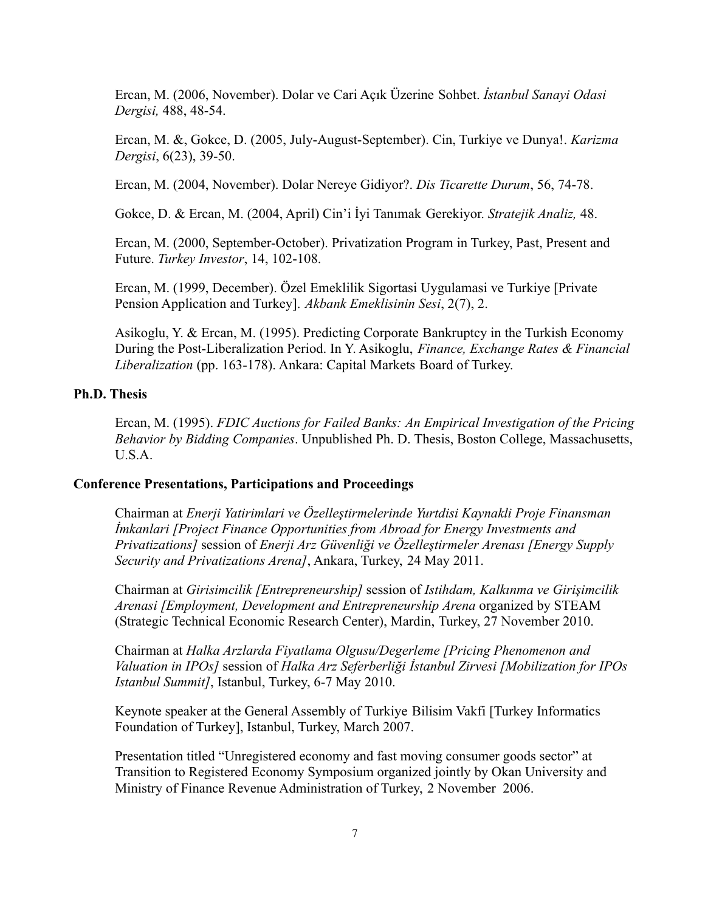Ercan, M. (2006, November). Dolar ve Cari Açık Üzerine Sohbet. *İstanbul Sanayi Odasi Dergisi,* 488, 48-54.

Ercan, M. &, Gokce, D. (2005, July-August-September). Cin, Turkiye ve Dunya!. *Karizma Dergisi*, 6(23), 39-50.

Ercan, M. (2004, November). Dolar Nereye Gidiyor?. *Dis Ticarette Durum*, 56, 74-78.

Gokce, D. & Ercan, M. (2004, April) Cin'i İyi Tanımak Gerekiyor. *Stratejik Analiz,* 48.

Ercan, M. (2000, September-October). Privatization Program in Turkey, Past, Present and Future. *Turkey Investor*, 14, 102-108.

Ercan, M. (1999, December). Özel Emeklilik Sigortasi Uygulamasi ve Turkiye [Private Pension Application and Turkey]. *Akbank Emeklisinin Sesi*, 2(7), 2.

Asikoglu, Y. & Ercan, M. (1995). Predicting Corporate Bankruptcy in the Turkish Economy During the Post-Liberalization Period. In Y. Asikoglu, *Finance, Exchange Rates & Financial Liberalization* (pp. 163-178). Ankara: Capital Markets Board of Turkey.

## **Ph.D. Thesis**

Ercan, M. (1995). *FDIC Auctions for Failed Banks: An Empirical Investigation of the Pricing Behavior by Bidding Companies*. Unpublished Ph. D. Thesis, Boston College, Massachusetts, U.S.A.

### **Conference Presentations, Participations and Proceedings**

Chairman at *Enerji Yatirimlari ve Özelleştirmelerinde Yurtdisi Kaynakli Proje Finansman İmkanlari [Project Finance Opportunities from Abroad for Energy Investments and Privatizations]* session of *Enerji Arz Güvenliği ve Özelleştirmeler Arenası [Energy Supply Security and Privatizations Arena]*, Ankara, Turkey, 24 May 2011.

Chairman at *Girisimcilik [Entrepreneurship]* session of *Istihdam, Kalkınma ve Girişimcilik Arenasi [Employment, Development and Entrepreneurship Arena* organized by STEAM (Strategic Technical Economic Research Center), Mardin, Turkey, 27 November 2010.

Chairman at *Halka Arzlarda Fiyatlama Olgusu/Degerleme [Pricing Phenomenon and Valuation in IPOs]* session of *Halka Arz Seferberliği İstanbul Zirvesi [Mobilization for IPOs Istanbul Summit]*, Istanbul, Turkey, 6-7 May 2010.

Keynote speaker at the General Assembly of Turkiye Bilisim Vakfi [Turkey Informatics Foundation of Turkey], Istanbul, Turkey, March 2007.

Presentation titled "Unregistered economy and fast moving consumer goods sector" at Transition to Registered Economy Symposium organized jointly by Okan University and Ministry of Finance Revenue Administration of Turkey, 2 November 2006.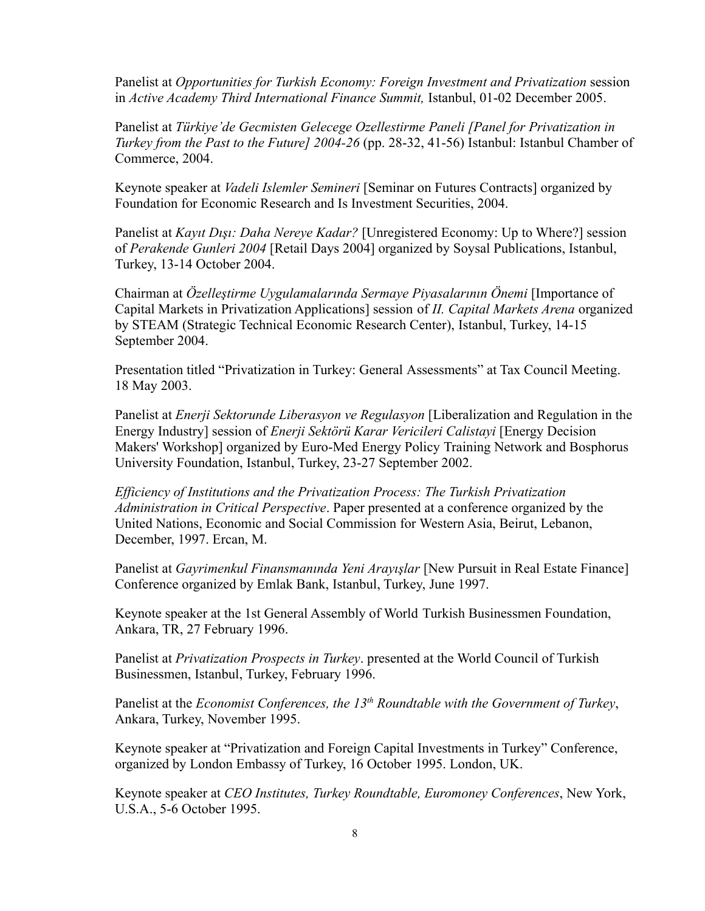Panelist at *Opportunities for Turkish Economy: Foreign Investment and Privatization* session in *Active Academy Third International Finance Summit,* Istanbul, 01-02 December 2005.

Panelist at *Türkiye'de Gecmisten Gelecege Ozellestirme Paneli [Panel for Privatization in Turkey from the Past to the Future] 2004-26* (pp. 28-32, 41-56) Istanbul: Istanbul Chamber of Commerce, 2004.

Keynote speaker at *Vadeli Islemler Semineri* [Seminar on Futures Contracts] organized by Foundation for Economic Research and Is Investment Securities, 2004.

Panelist at *Kayıt Dışı: Daha Nereye Kadar?* [Unregistered Economy: Up to Where?] session of *Perakende Gunleri 2004* [Retail Days 2004] organized by Soysal Publications, Istanbul, Turkey, 13-14 October 2004.

Chairman at *Özelleştirme Uygulamalarında Sermaye Piyasalarının Önemi* [Importance of Capital Markets in Privatization Applications] session of *II. Capital Markets Arena* organized by STEAM (Strategic Technical Economic Research Center), Istanbul, Turkey, 14-15 September 2004.

Presentation titled "Privatization in Turkey: General Assessments" at Tax Council Meeting. 18 May 2003.

Panelist at *Enerji Sektorunde Liberasyon ve Regulasyon* [Liberalization and Regulation in the Energy Industry] session of *Enerji Sektörü Karar Vericileri Calistayi* [Energy Decision Makers' Workshop] organized by Euro-Med Energy Policy Training Network and Bosphorus University Foundation, Istanbul, Turkey, 23-27 September 2002.

*Efficiency of Institutions and the Privatization Process: The Turkish Privatization Administration in Critical Perspective*. Paper presented at a conference organized by the United Nations, Economic and Social Commission for Western Asia, Beirut, Lebanon, December, 1997. Ercan, M.

Panelist at *Gayrimenkul Finansmanında Yeni Arayışlar* [New Pursuit in Real Estate Finance] Conference organized by Emlak Bank, Istanbul, Turkey, June 1997.

Keynote speaker at the 1st General Assembly of World Turkish Businessmen Foundation, Ankara, TR, 27 February 1996.

Panelist at *Privatization Prospects in Turkey*. presented at the World Council of Turkish Businessmen, Istanbul, Turkey, February 1996.

Panelist at the *Economist Conferences, the 13th Roundtable with the Government of Turkey*, Ankara, Turkey, November 1995.

Keynote speaker at "Privatization and Foreign Capital Investments in Turkey" Conference, organized by London Embassy of Turkey, 16 October 1995. London, UK.

Keynote speaker at *CEO Institutes, Turkey Roundtable, Euromoney Conferences*, New York, U.S.A., 5-6 October 1995.